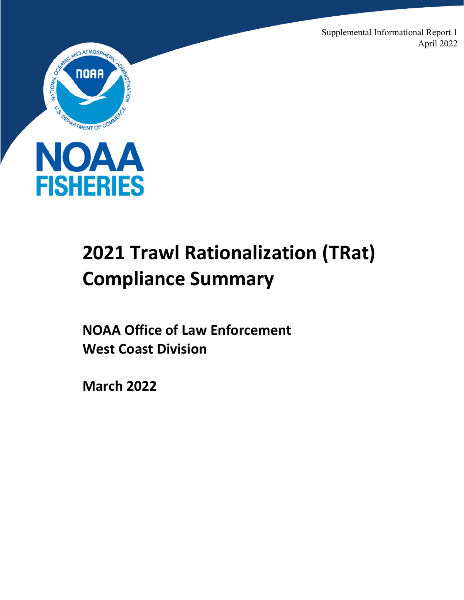Supplemental Informational Report 1 April 2022





# **2021 Trawl Rationalization (TRat) Compliance Summary**

**NOAA Office of Law Enforcement West Coast Division** 

**March 2022**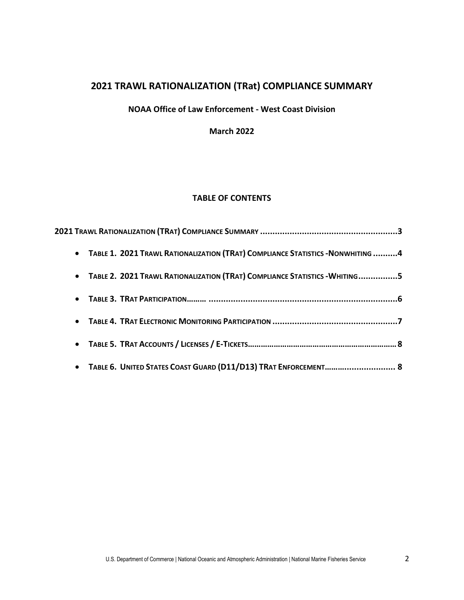# **2021 TRAWL RATIONALIZATION (TRat) COMPLIANCE SUMMARY**

### **NOAA Office of Law Enforcement - West Coast Division**

**March 2022**

## **TABLE OF CONTENTS**

| • TABLE 1. 2021 TRAWL RATIONALIZATION (TRAT) COMPLIANCE STATISTICS - NONWHITING 4 |  |
|-----------------------------------------------------------------------------------|--|
| • TABLE 2. 2021 TRAWL RATIONALIZATION (TRAT) COMPLIANCE STATISTICS - WHITING5     |  |
|                                                                                   |  |
|                                                                                   |  |
|                                                                                   |  |
| • TABLE 6. UNITED STATES COAST GUARD (D11/D13) TRAT ENFORCEMENT 8                 |  |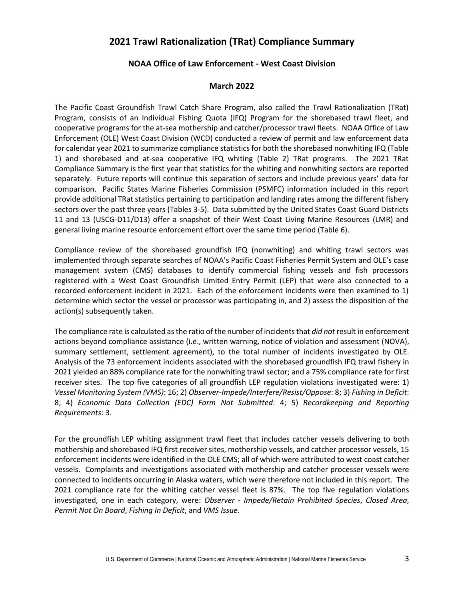# **2021 Trawl Rationalization (TRat) Compliance Summary**

#### **NOAA Office of Law Enforcement - West Coast Division**

#### **March 2022**

The Pacific Coast Groundfish Trawl Catch Share Program, also called the Trawl Rationalization (TRat) Program, consists of an Individual Fishing Quota (IFQ) Program for the shorebased trawl fleet, and cooperative programs for the at-sea mothership and catcher/processor trawl fleets. NOAA Office of Law Enforcement (OLE) West Coast Division (WCD) conducted a review of permit and law enforcement data for calendar year 2021 to summarize compliance statistics for both the shorebased nonwhiting IFQ (Table 1) and shorebased and at-sea cooperative IFQ whiting (Table 2) TRat programs. The 2021 TRat Compliance Summary is the first year that statistics for the whiting and nonwhiting sectors are reported separately. Future reports will continue this separation of sectors and include previous years' data for comparison. Pacific States Marine Fisheries Commission (PSMFC) information included in this report provide additional TRat statistics pertaining to participation and landing rates among the different fishery sectors over the past three years (Tables 3-5). Data submitted by the United States Coast Guard Districts 11 and 13 (USCG-D11/D13) offer a snapshot of their West Coast Living Marine Resources (LMR) and general living marine resource enforcement effort over the same time period (Table 6).

Compliance review of the shorebased groundfish IFQ (nonwhiting) and whiting trawl sectors was implemented through separate searches of NOAA's Pacific Coast Fisheries Permit System and OLE's case management system (CMS) databases to identify commercial fishing vessels and fish processors registered with a West Coast Groundfish Limited Entry Permit (LEP) that were also connected to a recorded enforcement incident in 2021. Each of the enforcement incidents were then examined to 1) determine which sector the vessel or processor was participating in, and 2) assess the disposition of the action(s) subsequently taken.

The compliance rate is calculated as the ratio of the number of incidents that *did not* result in enforcement actions beyond compliance assistance (i.e., written warning, notice of violation and assessment (NOVA), summary settlement, settlement agreement), to the total number of incidents investigated by OLE. Analysis of the 73 enforcement incidents associated with the shorebased groundfish IFQ trawl fishery in 2021 yielded an 88% compliance rate for the nonwhiting trawl sector; and a 75% compliance rate for first receiver sites. The top five categories of all groundfish LEP regulation violations investigated were: 1) *Vessel Monitoring System (VMS)*: 16; 2) *Observer-Impede/Interfere/Resist/Oppose*: 8; 3) *Fishing in Deficit*: 8; 4) *Economic Data Collection (EDC) Form Not Submitted*: 4; 5) *Recordkeeping and Reporting Requirements*: 3.

For the groundfish LEP whiting assignment trawl fleet that includes catcher vessels delivering to both mothership and shorebased IFQ first receiver sites, mothership vessels, and catcher processor vessels, 15 enforcement incidents were identified in the OLE CMS; all of which were attributed to west coast catcher vessels. Complaints and investigations associated with mothership and catcher processer vessels were connected to incidents occurring in Alaska waters, which were therefore not included in this report. The 2021 compliance rate for the whiting catcher vessel fleet is 87%. The top five regulation violations investigated, one in each category, were: *Observer - Impede/Retain Prohibited Species*, *Closed Area*, *Permit Not On Board*, *Fishing In Deficit*, and *VMS Issue*.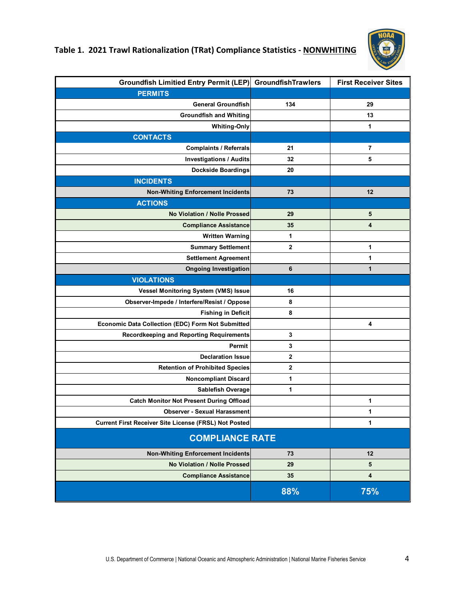

# **Table 1. 2021 Trawl Rationalization (TRat) Compliance Statistics - NONWHITING**

| <b>Groundfish Limitied Entry Permit (LEP)</b>                | <b>GroundfishTrawlers</b> | <b>First Receiver Sites</b> |
|--------------------------------------------------------------|---------------------------|-----------------------------|
| <b>PERMITS</b>                                               |                           |                             |
| <b>General Groundfish</b>                                    | 134                       | 29                          |
| <b>Groundfish and Whiting</b>                                |                           | 13                          |
| <b>Whiting-Only</b>                                          |                           | 1                           |
| <b>CONTACTS</b>                                              |                           |                             |
| <b>Complaints / Referrals</b>                                | 21                        | 7                           |
| <b>Investigations / Audits</b>                               | 32                        | 5                           |
| <b>Dockside Boardings</b>                                    | 20                        |                             |
| <b>INCIDENTS</b>                                             |                           |                             |
| <b>Non-Whiting Enforcement Incidents</b>                     | 73                        | 12                          |
| <b>ACTIONS</b>                                               |                           |                             |
| No Violation / Nolle Prossed                                 | 29                        | 5                           |
| <b>Compliance Assistance</b>                                 | 35                        | 4                           |
| <b>Written Warning</b>                                       | 1                         |                             |
| <b>Summary Settlement</b>                                    | $\bf 2$                   | 1                           |
| <b>Settlement Agreement</b>                                  |                           | 1                           |
| <b>Ongoing Investigation</b>                                 | 6                         | 1                           |
| <b>VIOLATIONS</b>                                            |                           |                             |
| Vessel Monitoring System (VMS) Issue                         | 16                        |                             |
| Observer-Impede / Interfere/Resist / Oppose                  | 8                         |                             |
| <b>Fishing in Deficit</b>                                    | 8                         |                             |
| Economic Data Collection (EDC) Form Not Submitted            |                           | 4                           |
| <b>Recordkeeping and Reporting Requirements</b>              | 3                         |                             |
| Permit                                                       | 3                         |                             |
| <b>Declaration Issue</b>                                     | $\mathbf{2}$              |                             |
| <b>Retention of Prohibited Species</b>                       | $\mathbf 2$               |                             |
| <b>Noncompliant Discard</b>                                  | 1                         |                             |
| Sablefish Overage                                            | 1                         |                             |
| <b>Catch Monitor Not Present During Offload</b>              |                           | 1                           |
| <b>Observer - Sexual Harassment</b>                          |                           | 1                           |
| <b>Current First Receiver Site License (FRSL) Not Posted</b> |                           | 1                           |
| <b>COMPLIANCE RATE</b>                                       |                           |                             |
| <b>Non-Whiting Enforcement Incidents</b>                     | 73                        | 12                          |
| No Violation / Nolle Prossed                                 | 29                        | 5                           |
| <b>Compliance Assistance</b>                                 | 35                        | 4                           |
|                                                              | 88%                       | 75%                         |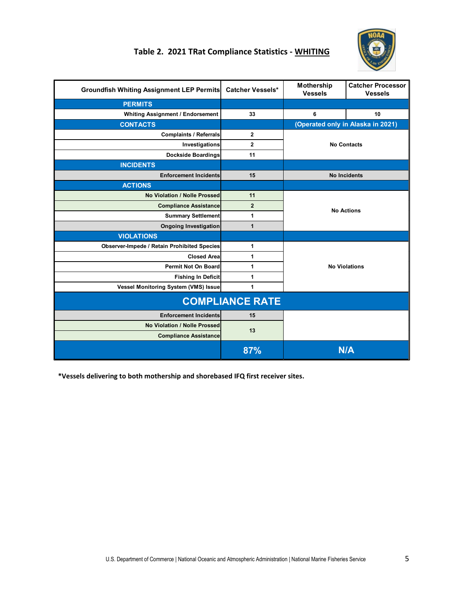

# **Table 2. 2021 TRat Compliance Statistics - WHITING**

| <b>Groundfish Whiting Assignment LEP Permits</b>   | <b>Catcher Vessels*</b> | Mothership<br><b>Vessels</b> | <b>Catcher Processor</b><br><b>Vessels</b> |
|----------------------------------------------------|-------------------------|------------------------------|--------------------------------------------|
| <b>PERMITS</b>                                     |                         |                              |                                            |
| <b>Whiting Assignment / Endorsement</b>            | 33                      | 6                            | 10                                         |
| <b>CONTACTS</b>                                    |                         |                              | (Operated only in Alaska in 2021)          |
| <b>Complaints / Referrals</b>                      | $\overline{2}$          |                              |                                            |
| Investigations                                     | $\mathbf{2}$            |                              | <b>No Contacts</b>                         |
| <b>Dockside Boardings</b>                          | 11                      |                              |                                            |
| <b>INCIDENTS</b>                                   |                         |                              |                                            |
| <b>Enforcement Incidents</b>                       | 15                      |                              | <b>No Incidents</b>                        |
| <b>ACTIONS</b>                                     |                         |                              |                                            |
| No Violation / Nolle Prossed                       | 11                      | <b>No Actions</b>            |                                            |
| <b>Compliance Assistance</b>                       | $\overline{2}$          |                              |                                            |
| <b>Summary Settlement</b>                          | 1                       |                              |                                            |
| <b>Ongoing Investigation</b>                       | 1                       |                              |                                            |
| <b>VIOLATIONS</b>                                  |                         |                              |                                            |
| <b>Observer-Impede / Retain Prohibited Species</b> | 1                       |                              |                                            |
| <b>Closed Area</b>                                 | 1                       |                              |                                            |
| <b>Permit Not On Board</b>                         | 1                       |                              | <b>No Violations</b>                       |
| <b>Fishing In Deficit</b>                          | 1                       |                              |                                            |
| Vessel Monitoring System (VMS) Issue               | 1                       |                              |                                            |
|                                                    | <b>COMPLIANCE RATE</b>  |                              |                                            |
| <b>Enforcement Incidents</b>                       | 15                      |                              |                                            |
| No Violation / Nolle Prossed                       | 13                      |                              |                                            |
| <b>Compliance Assistance</b>                       |                         |                              |                                            |
|                                                    | 87%                     |                              | <b>N/A</b>                                 |

 **\*Vessels delivering to both mothership and shorebased IFQ first receiver sites.**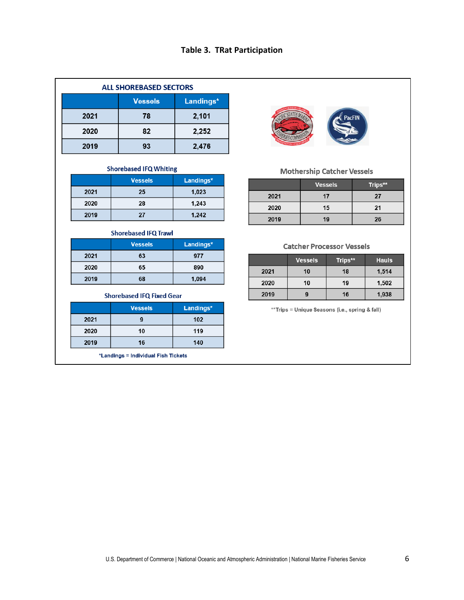## **Table 3. TRat Participation**

| <b>ALL SHOREBASED SECTORS</b> |                |           |
|-------------------------------|----------------|-----------|
|                               | <b>Vessels</b> | Landings* |
| 2021                          | 78             | 2,101     |
| 2020                          | 82             | 2,252     |
| 2019                          | 93             | 2,476     |

#### **Shorebased IFQ Whiting**

|      | <b>Vessels</b> | Landings* |
|------|----------------|-----------|
| 2021 | 25             | 1,023     |
| 2020 | 28             | 1,243     |
| 2019 | 27             | 1,242     |

#### **Shorebased IFQ Trawl**

|      | <b>Vessels</b> | Landings* |
|------|----------------|-----------|
| 2021 | 63             | 977       |
| 2020 | 65             | 890       |
| 2019 | 68             | 1,094     |

#### **Shorebased IFQ Fixed Gear**

|      | <b>Vessels</b> | Landings* |
|------|----------------|-----------|
| 2021 |                | 102       |
| 2020 | 10             | 119       |
| 2019 | 16             | 140       |

\*Landings = Individual Fish Tickets



#### **Mothership Catcher Vessels**

|      | <b>Vessels</b> | Trips** |
|------|----------------|---------|
| 2021 | 17             | 27      |
| 2020 | 15             | 21      |
| 2019 | 19             | 26      |

#### **Catcher Processor Vessels**

|      | <b>Vessels</b> | Trips** | <b>Hauls</b> |
|------|----------------|---------|--------------|
| 2021 | 10             | 18      | 1,514        |
| 2020 | 10             | 19      | 1,502        |
| 2019 |                | 16      | 1,938        |

\*\*Trips = Unique Seasons (i.e., spring & fall)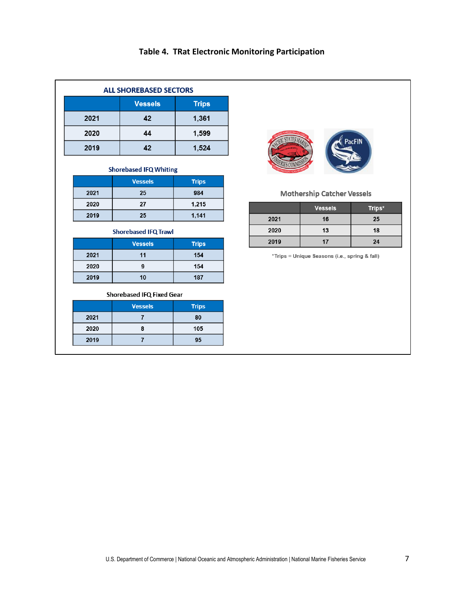# **Table 4. TRat Electronic Monitoring Participation**

| <b>ALL SHOREBASED SECTORS</b> |                |              |  |
|-------------------------------|----------------|--------------|--|
|                               | <b>Vessels</b> | <b>Trips</b> |  |
| 2021                          | 42             | 1,361        |  |
| 2020                          | 44             | 1,599        |  |
| 2019                          | 42             | 1,524        |  |

#### **Shorebased IFQ Whiting**

|      | <b>Vessels</b> | <b>Trips</b> |
|------|----------------|--------------|
| 2021 | 25             | 984          |
| 2020 | 27             | 1,215        |
| 2019 | 25             | 1,141        |

#### **Shorebased IFQ Trawl**

|      | <b>Vessels</b> | <b>Trips</b> |
|------|----------------|--------------|
| 2021 | 11             | 154          |
| 2020 | g              | 154          |
| 2019 | 10             | 187          |

#### Shorebased IFQ Fixed Gear

|      | <b>Vessels</b> | <b>Trips</b> |
|------|----------------|--------------|
| 2021 |                | 80           |
| 2020 |                | 105          |
| 2019 |                | 95           |



#### **Mothership Catcher Vessels**

|      | <b>Vessels</b> | Trips* |
|------|----------------|--------|
| 2021 | 16             | 25     |
| 2020 | 13             | 18     |
| 2019 | 17             | 24     |

\*Trips = Unique Seasons (i.e., spring & fall)